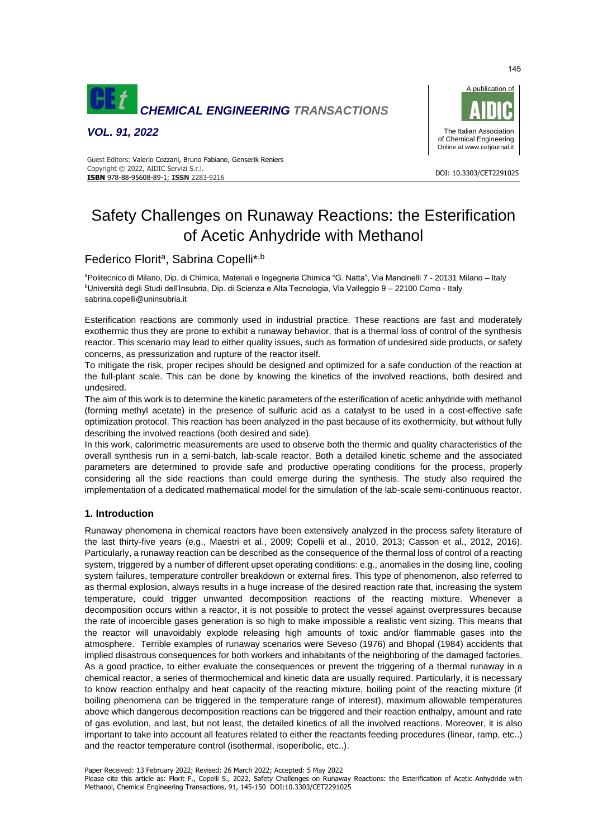

*VOL. 91, 2022*



#### DOI: 10.3303/CET2291025 **ISBN** 978-88-95608-89-1; **ISSN** 2283-9216 Guest Editors: Valerio Cozzani, Bruno Fabiano, Genserik Reniers Copyright © 2022, AIDIC Servizi S.r.l.

# Safety Challenges on Runaway Reactions: the Esterification of Acetic Anhydride with Methanol

# Federico Florit<sup>a</sup>, Sabrina Copelli<sup>\*,b</sup>

<sup>a</sup>Politecnico di Milano, Dip. di Chimica, Materiali e Ingegneria Chimica "G. Natta", Via Mancinelli 7 - 20131 Milano – Italy <sup>b</sup>Università degli Studi dell'Insubria, Dip. di Scienza e Alta Tecnologia, Via Valleggio 9 – 22100 Como - Italy sabrina.copelli@uninsubria.it

Esterification reactions are commonly used in industrial practice. These reactions are fast and moderately exothermic thus they are prone to exhibit a runaway behavior, that is a thermal loss of control of the synthesis reactor. This scenario may lead to either quality issues, such as formation of undesired side products, or safety concerns, as pressurization and rupture of the reactor itself.

To mitigate the risk, proper recipes should be designed and optimized for a safe conduction of the reaction at the full-plant scale. This can be done by knowing the kinetics of the involved reactions, both desired and undesired.

The aim of this work is to determine the kinetic parameters of the esterification of acetic anhydride with methanol (forming methyl acetate) in the presence of sulfuric acid as a catalyst to be used in a cost-effective safe optimization protocol. This reaction has been analyzed in the past because of its exothermicity, but without fully describing the involved reactions (both desired and side).

In this work, calorimetric measurements are used to observe both the thermic and quality characteristics of the overall synthesis run in a semi-batch, lab-scale reactor. Both a detailed kinetic scheme and the associated parameters are determined to provide safe and productive operating conditions for the process, properly considering all the side reactions than could emerge during the synthesis. The study also required the implementation of a dedicated mathematical model for the simulation of the lab-scale semi-continuous reactor.

## **1. Introduction**

Runaway phenomena in chemical reactors have been extensively analyzed in the process safety literature of the last thirty-five years (e.g., Maestri et al., 2009; Copelli et al., 2010, 2013; Casson et al., 2012, 2016). Particularly, a runaway reaction can be described as the consequence of the thermal loss of control of a reacting system, triggered by a number of different upset operating conditions: e.g., anomalies in the dosing line, cooling system failures, temperature controller breakdown or external fires. This type of phenomenon, also referred to as thermal explosion, always results in a huge increase of the desired reaction rate that, increasing the system temperature, could trigger unwanted decomposition reactions of the reacting mixture. Whenever a decomposition occurs within a reactor, it is not possible to protect the vessel against overpressures because the rate of incoercible gases generation is so high to make impossible a realistic vent sizing. This means that the reactor will unavoidably explode releasing high amounts of toxic and/or flammable gases into the atmosphere. Terrible examples of runaway scenarios were Seveso (1976) and Bhopal (1984) accidents that implied disastrous consequences for both workers and inhabitants of the neighboring of the damaged factories. As a good practice, to either evaluate the consequences or prevent the triggering of a thermal runaway in a chemical reactor, a series of thermochemical and kinetic data are usually required. Particularly, it is necessary to know reaction enthalpy and heat capacity of the reacting mixture, boiling point of the reacting mixture (if boiling phenomena can be triggered in the temperature range of interest), maximum allowable temperatures above which dangerous decomposition reactions can be triggered and their reaction enthalpy, amount and rate of gas evolution, and last, but not least, the detailed kinetics of all the involved reactions. Moreover, it is also important to take into account all features related to either the reactants feeding procedures (linear, ramp, etc..) and the reactor temperature control (isothermal, isoperibolic, etc..).

Please cite this article as: Florit F., Copelli S., 2022, Safety Challenges on Runaway Reactions: the Esterification of Acetic Anhydride with Methanol, Chemical Engineering Transactions, 91, 145-150 DOI:10.3303/CET2291025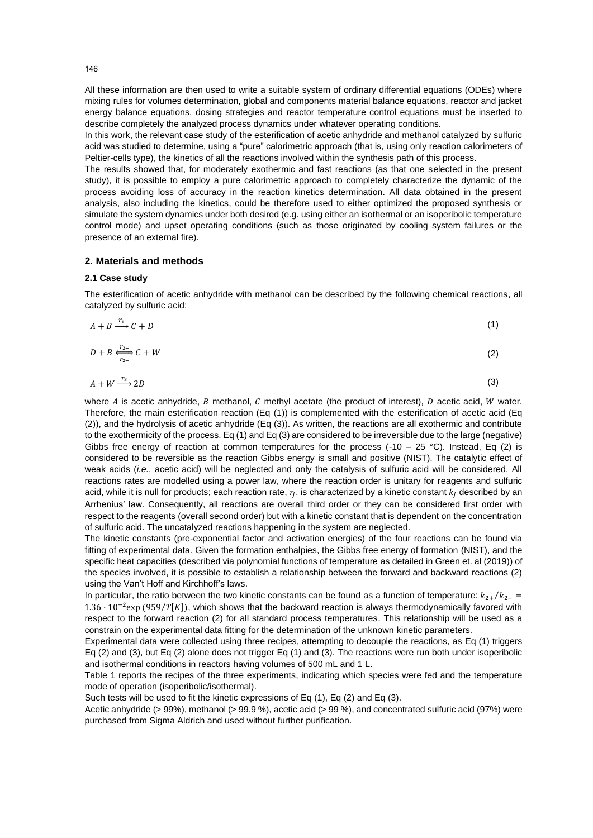All these information are then used to write a suitable system of ordinary differential equations (ODEs) where mixing rules for volumes determination, global and components material balance equations, reactor and jacket energy balance equations, dosing strategies and reactor temperature control equations must be inserted to describe completely the analyzed process dynamics under whatever operating conditions.

In this work, the relevant case study of the esterification of acetic anhydride and methanol catalyzed by sulfuric acid was studied to determine, using a "pure" calorimetric approach (that is, using only reaction calorimeters of Peltier-cells type), the kinetics of all the reactions involved within the synthesis path of this process.

The results showed that, for moderately exothermic and fast reactions (as that one selected in the present study), it is possible to employ a pure calorimetric approach to completely characterize the dynamic of the process avoiding loss of accuracy in the reaction kinetics determination. All data obtained in the present analysis, also including the kinetics, could be therefore used to either optimized the proposed synthesis or simulate the system dynamics under both desired (e.g. using either an isothermal or an isoperibolic temperature control mode) and upset operating conditions (such as those originated by cooling system failures or the presence of an external fire).

#### **2. Materials and methods**

#### **2.1 Case study**

The esterification of acetic anhydride with methanol can be described by the following chemical reactions, all catalyzed by sulfuric acid:

$$
A + B \xrightarrow{r_1} C + D \tag{1}
$$

$$
D + B \xrightarrow[r_{2-}]{r_{2+}} C + W \tag{2}
$$

$$
A + W \xrightarrow{r_3} 2D \tag{3}
$$

where  $A$  is acetic anhydride,  $B$  methanol,  $C$  methyl acetate (the product of interest),  $D$  acetic acid,  $W$  water. Therefore, the main esterification reaction (Eq (1)) is complemented with the esterification of acetic acid (Eq (2)), and the hydrolysis of acetic anhydride (Eq (3)). As written, the reactions are all exothermic and contribute to the exothermicity of the process. Eq (1) and Eq (3) are considered to be irreversible due to the large (negative) Gibbs free energy of reaction at common temperatures for the process (-10 – 25 °C). Instead, Eq (2) is considered to be reversible as the reaction Gibbs energy is small and positive (NIST). The catalytic effect of weak acids (*i.e.*, acetic acid) will be neglected and only the catalysis of sulfuric acid will be considered. All reactions rates are modelled using a power law, where the reaction order is unitary for reagents and sulfuric acid, while it is null for products; each reaction rate,  $r_j$ , is characterized by a kinetic constant  $k_j$  described by an Arrhenius' law. Consequently, all reactions are overall third order or they can be considered first order with respect to the reagents (overall second order) but with a kinetic constant that is dependent on the concentration of sulfuric acid. The uncatalyzed reactions happening in the system are neglected.

The kinetic constants (pre-exponential factor and activation energies) of the four reactions can be found via fitting of experimental data. Given the formation enthalpies, the Gibbs free energy of formation (NIST), and the specific heat capacities (described via polynomial functions of temperature as detailed in Green et. al (2019)) of the species involved, it is possible to establish a relationship between the forward and backward reactions (2) using the Van't Hoff and Kirchhoff's laws.

In particular, the ratio between the two kinetic constants can be found as a function of temperature:  $k_{2+}/k_{2-}$  $1.36 \cdot 10^{-2}$ exp (959/T[K]), which shows that the backward reaction is always thermodynamically favored with respect to the forward reaction (2) for all standard process temperatures. This relationship will be used as a constrain on the experimental data fitting for the determination of the unknown kinetic parameters.

Experimental data were collected using three recipes, attempting to decouple the reactions, as Eq (1) triggers Eq (2) and (3), but Eq (2) alone does not trigger Eq (1) and (3). The reactions were run both under isoperibolic and isothermal conditions in reactors having volumes of 500 mL and 1 L.

Table 1 reports the recipes of the three experiments, indicating which species were fed and the temperature mode of operation (isoperibolic/isothermal).

Such tests will be used to fit the kinetic expressions of Eq (1), Eq (2) and Eq (3).

Acetic anhydride (> 99%), methanol (> 99.9 %), acetic acid (> 99 %), and concentrated sulfuric acid (97%) were purchased from Sigma Aldrich and used without further purification.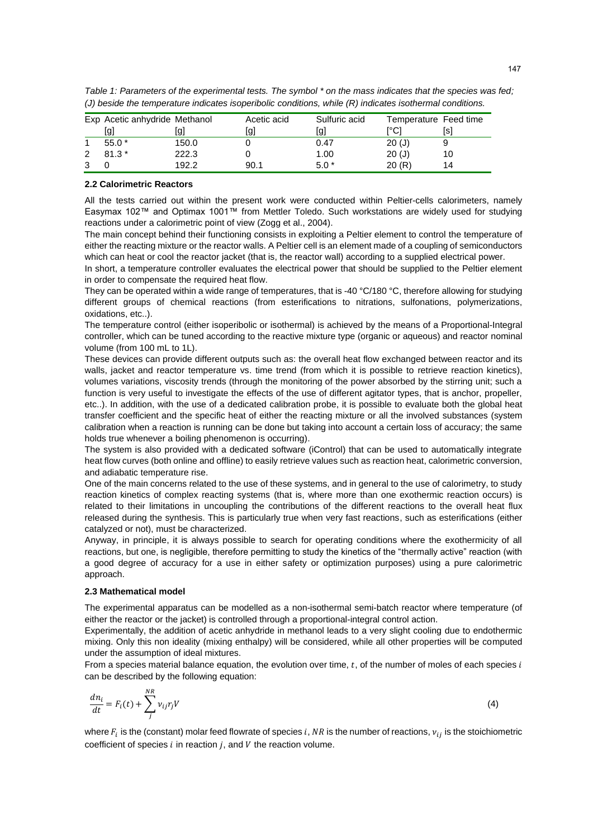|   | Exp Acetic anhydride Methanol |       | Acetic acid | Sulfuric acid | Temperature Feed time |     |
|---|-------------------------------|-------|-------------|---------------|-----------------------|-----|
|   | [g]                           | lgl   | [g]         | [g]           | ™Cl                   | [s] |
|   | $55.0*$                       | 150.0 |             | 0.47          | 20(J)                 |     |
| 2 | $81.3*$                       | 222.3 |             | 1.00          | 20(J)                 | 10  |
|   |                               | 192.2 | 90.1        | $5.0*$        | 20(R)                 | 14  |

*Table 1: Parameters of the experimental tests. The symbol \* on the mass indicates that the species was fed; (J) beside the temperature indicates isoperibolic conditions, while (R) indicates isothermal conditions.*

#### **2.2 Calorimetric Reactors**

All the tests carried out within the present work were conducted within Peltier-cells calorimeters, namely Easymax 102™ and Optimax 1001™ from Mettler Toledo. Such workstations are widely used for studying reactions under a calorimetric point of view (Zogg et al., 2004).

The main concept behind their functioning consists in exploiting a Peltier element to control the temperature of either the reacting mixture or the reactor walls. A Peltier cell is an element made of a coupling of semiconductors which can heat or cool the reactor jacket (that is, the reactor wall) according to a supplied electrical power.

In short, a temperature controller evaluates the electrical power that should be supplied to the Peltier element in order to compensate the required heat flow.

They can be operated within a wide range of temperatures, that is -40 °C/180 °C, therefore allowing for studying different groups of chemical reactions (from esterifications to nitrations, sulfonations, polymerizations, oxidations, etc..).

The temperature control (either isoperibolic or isothermal) is achieved by the means of a Proportional-Integral controller, which can be tuned according to the reactive mixture type (organic or aqueous) and reactor nominal volume (from 100 mL to 1L).

These devices can provide different outputs such as: the overall heat flow exchanged between reactor and its walls, jacket and reactor temperature vs. time trend (from which it is possible to retrieve reaction kinetics), volumes variations, viscosity trends (through the monitoring of the power absorbed by the stirring unit; such a function is very useful to investigate the effects of the use of different agitator types, that is anchor, propeller, etc..). In addition, with the use of a dedicated calibration probe, it is possible to evaluate both the global heat transfer coefficient and the specific heat of either the reacting mixture or all the involved substances (system calibration when a reaction is running can be done but taking into account a certain loss of accuracy; the same holds true whenever a boiling phenomenon is occurring).

The system is also provided with a dedicated software (iControl) that can be used to automatically integrate heat flow curves (both online and offline) to easily retrieve values such as reaction heat, calorimetric conversion, and adiabatic temperature rise.

One of the main concerns related to the use of these systems, and in general to the use of calorimetry, to study reaction kinetics of complex reacting systems (that is, where more than one exothermic reaction occurs) is related to their limitations in uncoupling the contributions of the different reactions to the overall heat flux released during the synthesis. This is particularly true when very fast reactions, such as esterifications (either catalyzed or not), must be characterized.

Anyway, in principle, it is always possible to search for operating conditions where the exothermicity of all reactions, but one, is negligible, therefore permitting to study the kinetics of the "thermally active" reaction (with a good degree of accuracy for a use in either safety or optimization purposes) using a pure calorimetric approach.

#### **2.3 Mathematical model**

The experimental apparatus can be modelled as a non-isothermal semi-batch reactor where temperature (of either the reactor or the jacket) is controlled through a proportional-integral control action.

Experimentally, the addition of acetic anhydride in methanol leads to a very slight cooling due to endothermic mixing. Only this non ideality (mixing enthalpy) will be considered, while all other properties will be computed under the assumption of ideal mixtures.

From a species material balance equation, the evolution over time,  $t$ , of the number of moles of each species  $i$ can be described by the following equation:

$$
\frac{dn_i}{dt} = F_i(t) + \sum_j^{NR} v_{ij} r_j V \tag{4}
$$

where  $F_i$  is the (constant) molar feed flowrate of species  $i$ ,  $NR$  is the number of reactions,  $v_{ij}$  is the stoichiometric coefficient of species  $i$  in reaction  $j$ , and  $V$  the reaction volume.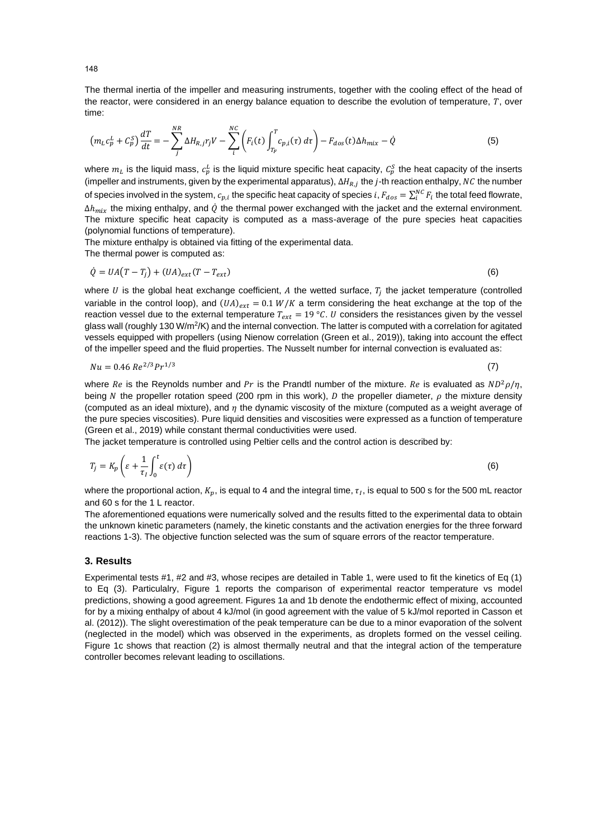The thermal inertia of the impeller and measuring instruments, together with the cooling effect of the head of the reactor, were considered in an energy balance equation to describe the evolution of temperature,  $T$ , over time:

$$
\left(m_L c_p^L + C_p^S\right) \frac{dT}{dt} = -\sum_{j}^{NR} \Delta H_{R,j} r_j V - \sum_{i}^{NC} \left(F_i(t) \int_{T_F}^T c_{p,i}(\tau) d\tau\right) - F_{dos}(t) \Delta h_{mix} - \dot{Q}
$$
\n<sup>(5)</sup>

where  $m_L$  is the liquid mass,  $c_p^L$  is the liquid mixture specific heat capacity,  $c_p^S$  the heat capacity of the inserts (impeller and instruments, given by the experimental apparatus),  $\Delta H_{R,j}$  the *j*-th reaction enthalpy, NC the number of species involved in the system,  $c_{p,i}$  the specific heat capacity of species  $i$ ,  $F_{dos}=\sum_i^{NC}F_i$  the total feed flowrate,  $\Delta h_{mix}$  the mixing enthalpy, and  $\dot{Q}$  the thermal power exchanged with the jacket and the external environment. The mixture specific heat capacity is computed as a mass-average of the pure species heat capacities (polynomial functions of temperature).

The mixture enthalpy is obtained via fitting of the experimental data. The thermal power is computed as:

$$
\dot{Q} = UA(T - T_j) + (UA)_{ext}(T - T_{ext})
$$
\n<sup>(6)</sup>

where U is the global heat exchange coefficient, A the wetted surface,  $T_j$  the jacket temperature (controlled variable in the control loop), and  $(UA)_{ext} = 0.1 W/K$  a term considering the heat exchange at the top of the reaction vessel due to the external temperature  $T_{ext} = 19 \degree C$ . U considers the resistances given by the vessel glass wall (roughly 130 W/m<sup>2</sup>/K) and the internal convection. The latter is computed with a correlation for agitated vessels equipped with propellers (using Nienow correlation (Green et al., 2019)), taking into account the effect of the impeller speed and the fluid properties. The Nusselt number for internal convection is evaluated as:

$$
Nu = 0.46 \, Re^{2/3} Pr^{1/3} \tag{7}
$$

where Re is the Reynolds number and Pr is the Prandtl number of the mixture. Re is evaluated as  $ND^2\rho/\eta$ , being N the propeller rotation speed (200 rpm in this work), D the propeller diameter,  $\rho$  the mixture density (computed as an ideal mixture), and  $\eta$  the dynamic viscosity of the mixture (computed as a weight average of the pure species viscosities). Pure liquid densities and viscosities were expressed as a function of temperature (Green et al., 2019) while constant thermal conductivities were used.

The jacket temperature is controlled using Peltier cells and the control action is described by:

$$
T_j = K_p \left( \varepsilon + \frac{1}{\tau_l} \int_0^t \varepsilon(\tau) \, d\tau \right) \tag{6}
$$

where the proportional action,  $K_p$ , is equal to 4 and the integral time,  $\tau_I$ , is equal to 500 s for the 500 mL reactor and 60 s for the 1 L reactor.

The aforementioned equations were numerically solved and the results fitted to the experimental data to obtain the unknown kinetic parameters (namely, the kinetic constants and the activation energies for the three forward reactions 1-3). The objective function selected was the sum of square errors of the reactor temperature.

#### **3. Results**

Experimental tests #1, #2 and #3, whose recipes are detailed in Table 1, were used to fit the kinetics of Eq (1) to Eq (3). Particulalry, Figure 1 reports the comparison of experimental reactor temperature vs model predictions, showing a good agreement. Figures 1a and 1b denote the endothermic effect of mixing, accounted for by a mixing enthalpy of about 4 kJ/mol (in good agreement with the value of 5 kJ/mol reported in Casson et al. (2012)). The slight overestimation of the peak temperature can be due to a minor evaporation of the solvent (neglected in the model) which was observed in the experiments, as droplets formed on the vessel ceiling. Figure 1c shows that reaction (2) is almost thermally neutral and that the integral action of the temperature controller becomes relevant leading to oscillations.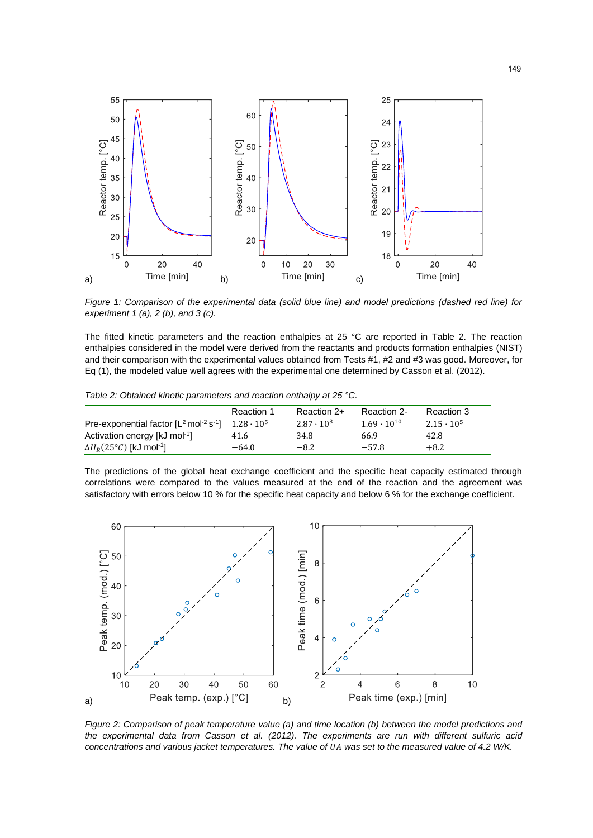

*Figure 1: Comparison of the experimental data (solid blue line) and model predictions (dashed red line) for experiment 1 (a), 2 (b), and 3 (c).*

The fitted kinetic parameters and the reaction enthalpies at 25 °C are reported in Table 2. The reaction enthalpies considered in the model were derived from the reactants and products formation enthalpies (NIST) and their comparison with the experimental values obtained from Tests #1, #2 and #3 was good. Moreover, for Eq (1), the modeled value well agrees with the experimental one determined by Casson et al. (2012).

*Table 2: Obtained kinetic parameters and reaction enthalpy at 25 °C.*

|                                                                | Reaction 1        | Reaction 2+         | Reaction 2-          | Reaction 3        |
|----------------------------------------------------------------|-------------------|---------------------|----------------------|-------------------|
| Pre-exponential factor $[L^2 \text{ mol}^{-2} \text{ s}^{-1}]$ | $1.28 \cdot 10^5$ | $2.87 \cdot 10^{3}$ | $1.69 \cdot 10^{10}$ | $2.15 \cdot 10^5$ |
| Activation energy [kJ mol-1]                                   | 41.6              | 34.8                | 66.9                 | 42.8              |
| $\Delta H_R$ (25°C) [kJ mol <sup>-1</sup> ]                    | $-64.0$           | $-8.2$              | $-57.8$              | $+8.2$            |

The predictions of the global heat exchange coefficient and the specific heat capacity estimated through correlations were compared to the values measured at the end of the reaction and the agreement was satisfactory with errors below 10 % for the specific heat capacity and below 6 % for the exchange coefficient.



*Figure 2: Comparison of peak temperature value (a) and time location (b) between the model predictions and the experimental data from Casson et al. (2012). The experiments are run with different sulfuric acid concentrations and various jacket temperatures. The value of was set to the measured value of 4.2 W/K.*